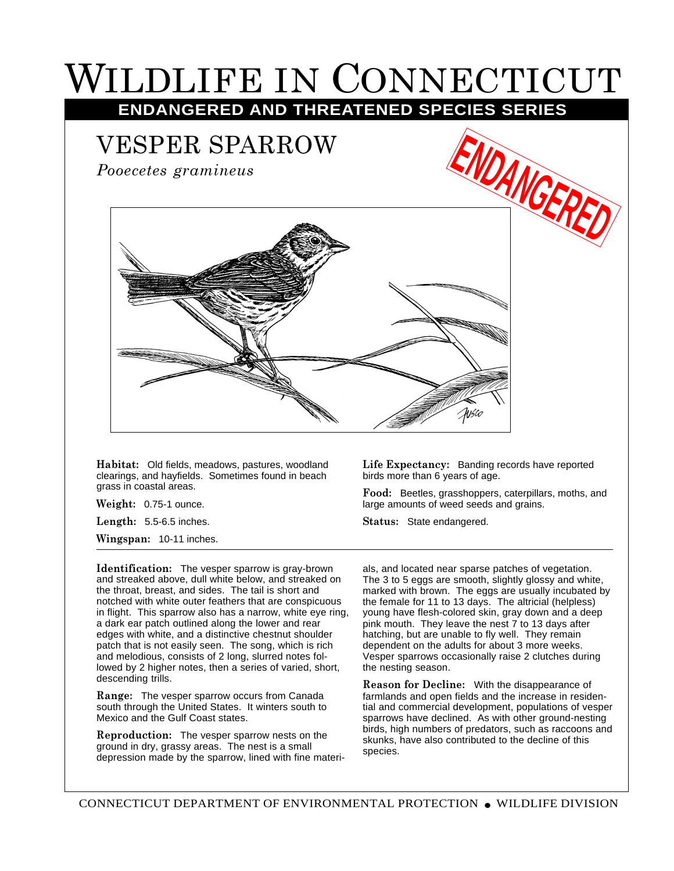## WILDLIFE IN CONNECTICUT

**ENDANGERED AND THREATENED SPECIES SERIES**

## VESPER SPARROW

*Pooecetes gramineus*



**Habitat:** Old fields, meadows, pastures, woodland clearings, and hayfields. Sometimes found in beach grass in coastal areas.

**Weight:** 0.75-1 ounce.

**Length:** 5.5-6.5 inches.

**Wingspan:** 10-11 inches.

**Life Expectancy:** Banding records have reported birds more than 6 years of age.

**Food:** Beetles, grasshoppers, caterpillars, moths, and large amounts of weed seeds and grains.

**Status:** State endangered.

**Identification:** The vesper sparrow is gray-brown and streaked above, dull white below, and streaked on the throat, breast, and sides. The tail is short and notched with white outer feathers that are conspicuous in flight. This sparrow also has a narrow, white eye ring, a dark ear patch outlined along the lower and rear edges with white, and a distinctive chestnut shoulder patch that is not easily seen. The song, which is rich and melodious, consists of 2 long, slurred notes followed by 2 higher notes, then a series of varied, short, descending trills.

**Range:** The vesper sparrow occurs from Canada south through the United States. It winters south to Mexico and the Gulf Coast states.

**Reproduction:** The vesper sparrow nests on the ground in dry, grassy areas. The nest is a small depression made by the sparrow, lined with fine materi-

als, and located near sparse patches of vegetation. The 3 to 5 eggs are smooth, slightly glossy and white, marked with brown. The eggs are usually incubated by the female for 11 to 13 days. The altricial (helpless) young have flesh-colored skin, gray down and a deep pink mouth. They leave the nest 7 to 13 days after hatching, but are unable to fly well. They remain dependent on the adults for about 3 more weeks. Vesper sparrows occasionally raise 2 clutches during the nesting season.

**Reason for Decline:** With the disappearance of farmlands and open fields and the increase in residential and commercial development, populations of vesper sparrows have declined. As with other ground-nesting birds, high numbers of predators, such as raccoons and skunks, have also contributed to the decline of this species.